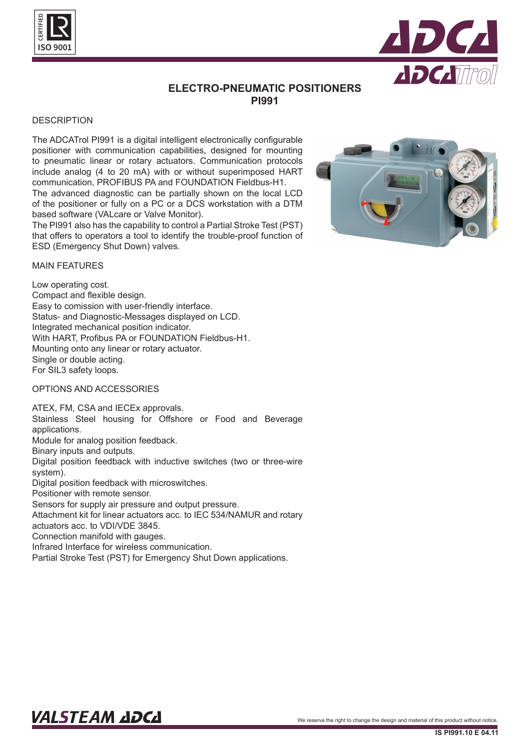



# **ELECTRO-PNEUMATIC POSITIONERS PI991**

## **DESCRIPTION**

The ADCATrol PI991 is a digital intelligent electronically configurable positioner with communication capabilities, designed for mounting to pneumatic linear or rotary actuators. Communication protocols include analog (4 to 20 mA) with or without superimposed HART communication, PROFIBUS PA and FOUNDATION Fieldbus-H1.

The advanced diagnostic can be partially shown on the local LCD of the positioner or fully on a PC or a DCS workstation with a DTM based software (VALcare or Valve Monitor).

The PI991 also has the capability to control a Partial Stroke Test (PST) that offers to operators a tool to identify the trouble-proof function of ESD (Emergency Shut Down) valves.



### MAIN FEATURES

Low operating cost. Compact and flexible design. Easy to comission with user-friendly interface. Status- and Diagnostic-Messages displayed on LCD. Integrated mechanical position indicator. With HART, Profibus PA or FOUNDATION Fieldbus-H1. Mounting onto any linear or rotary actuator. Single or double acting. For SIL3 safety loops.

#### OPTIONS AND ACCESSORIES

ATEX, FM, CSA and IECEx approvals. Stainless Steel housing for Offshore or Food and Beverage applications. Module for analog position feedback. Binary inputs and outputs.

Digital position feedback with inductive switches (two or three-wire system).

Digital position feedback with microswitches.

Positioner with remote sensor.

Sensors for supply air pressure and output pressure.

Attachment kit for linear actuators acc. to IEC 534/NAMUR and rotary actuators acc. to VDI/VDE 3845.

Connection manifold with gauges.

Infrared Interface for wireless communication.

Partial Stroke Test (PST) for Emergency Shut Down applications.